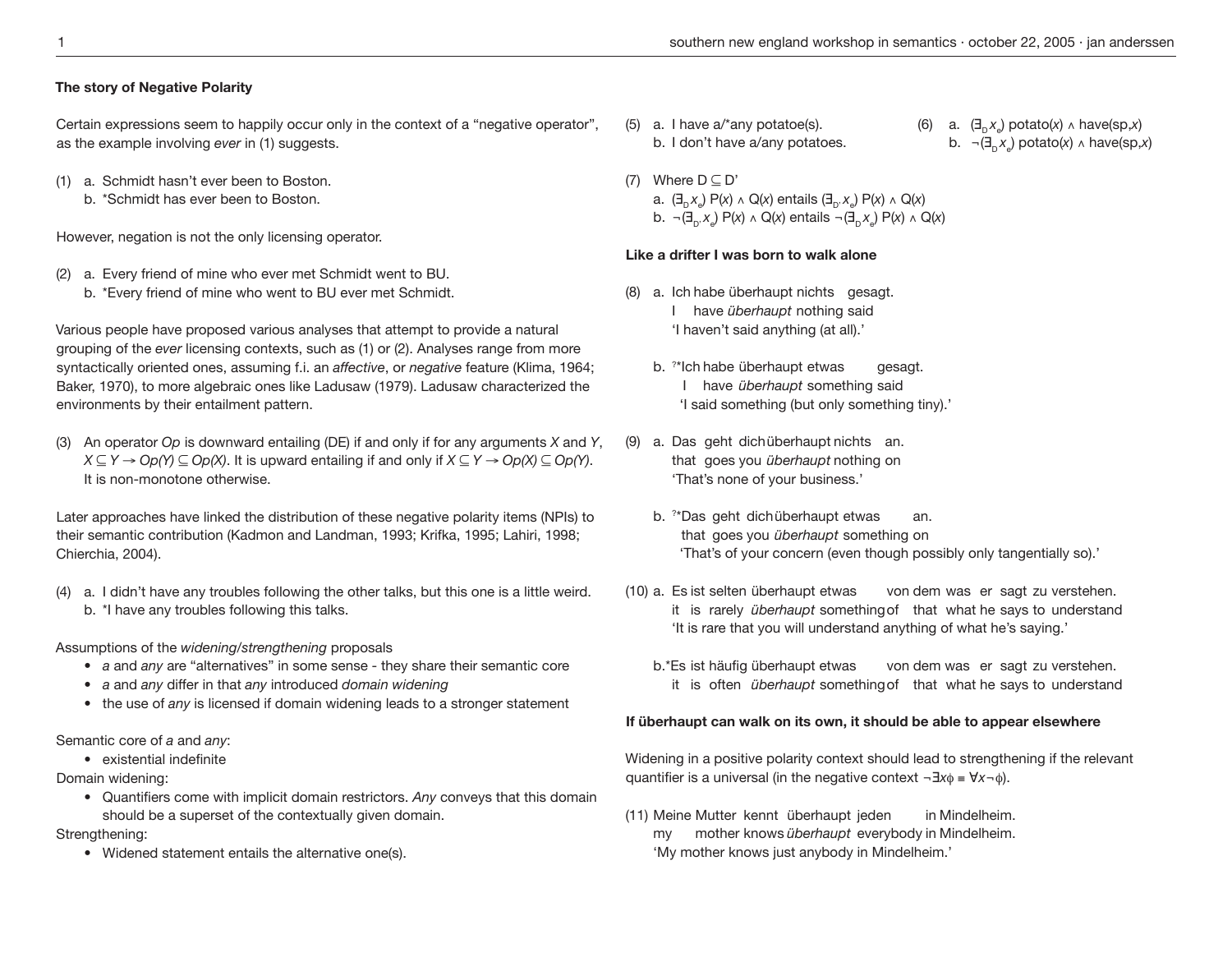### **The story of Negative Polarity**

Certain expressions seem to happily occur only in the context of a "negative operator", as the example involving *ever* in (1) suggests.

- (1) a. Schmidt hasn't ever been to Boston.
	- b. \*Schmidt has ever been to Boston.

However, negation is not the only licensing operator.

- (2) a. Every friend of mine who ever met Schmidt went to BU.
	- b. \*Every friend of mine who went to BU ever met Schmidt.

Various people have proposed various analyses that attempt to provide a natural grouping of the *ever* licensing contexts, such as (1) or (2). Analyses range from more syntactically oriented ones, assuming f.i. an *affective*, or *negative* feature (Klima, 1964; Baker, 1970), to more algebraic ones like Ladusaw (1979). Ladusaw characterized the environments by their entailment pattern.

(3) An operator *Op* is downward entailing (DE) if and only if for any arguments *X* and *Y*, *X* ⊆ *Y* → *Op(Y)* ⊆ *Op(X)*. It is upward entailing if and only if *X* ⊆ *Y* → *Op(X)* ⊆ *Op(Y)*. It is non-monotone otherwise.

Later approaches have linked the distribution of these negative polarity items (NPIs) to their semantic contribution (Kadmon and Landman, 1993; Krifka, 1995; Lahiri, 1998; Chierchia, 2004).

(4) a. I didn't have any troubles following the other talks, but this one is a little weird. b. \*I have any troubles following this talks.

Assumptions of the *widening/strengthening* proposals

- *a* and *any* are "alternatives" in some sense they share their semantic core
- *a* and *any* differ in that *any* introduced *domain widening*
- the use of *any* is licensed if domain widening leads to a stronger statement

Semantic core of *a* and *any*:

• existential indefinite

Domain widening:

 • Quantifiers come with implicit domain restrictors. *Any* conveys that this domain should be a superset of the contextually given domain.

Strengthening:

• Widened statement entails the alternative one(s).

- (5) a. I have  $a^*$ any potatoe(s).  $(6)$ b. I don't have a/any potatoes.
- (7) Where  $D \subseteq D'$ a. (∃<sub>D</sub> *x*<sub>e</sub>) P(*x*) ∧ Q(*x*) entails (∃<sub>D'</sub> *x*<sub>e</sub>) P(*x*) ∧ Q(*x*) b.  $\neg(\exists_{D'} x_{e}) P(x) \land Q(x)$  entails  $\neg(\exists_{D} x_{e}) P(x) \land Q(x)$

# **Like a drifter I was born to walk alone**

- (8) a. Ich habe überhaupt nichts gesagt. I have *überhaupt* nothing said 'I haven't said anything (at all).'
- b. ? \*Ich habe überhaupt etwas gesagt. I have *überhaupt* something said 'I said something (but only something tiny).'
- (9) a. Das geht dich überhaupt nichts an. that goes you *überhaupt* nothing on 'That's none of your business.'
- b. ? \*Das geht dich überhaupt etwas an. that goes you *überhaupt* something on 'That's of your concern (even though possibly only tangentially so).'
- (10) a. Es ist selten überhaupt etwas von dem was er sagt zu verstehen. it is rarely *überhaupt* something of that what he says to understand 'It is rare that you will understand anything of what he's saying.'
	- b.\*Es ist häufig überhaupt etwas von dem was er sagt zu verstehen. it is often *überhaupt* something of that what he says to understand

# **If überhaupt can walk on its own, it should be able to appear elsewhere**

Widening in a positive polarity context should lead to strengthening if the relevant quantifier is a universal (in the negative context ¬∃*x*φ ≡ ∀*x*¬φ).

(11) Meine Mutter kennt überhaupt jeden in Mindelheim. my mother knows *überhaupt* everybody in Mindelheim. 'My mother knows just anybody in Mindelheim.'

a.  $(\exists_{n} x_{n})$  potato(*x*) ∧ have(sp,*x*) b.  $\neg \left( \exists_{n} x_{n} \right)$  potato(*x*) ∧ have(sp,*x*)